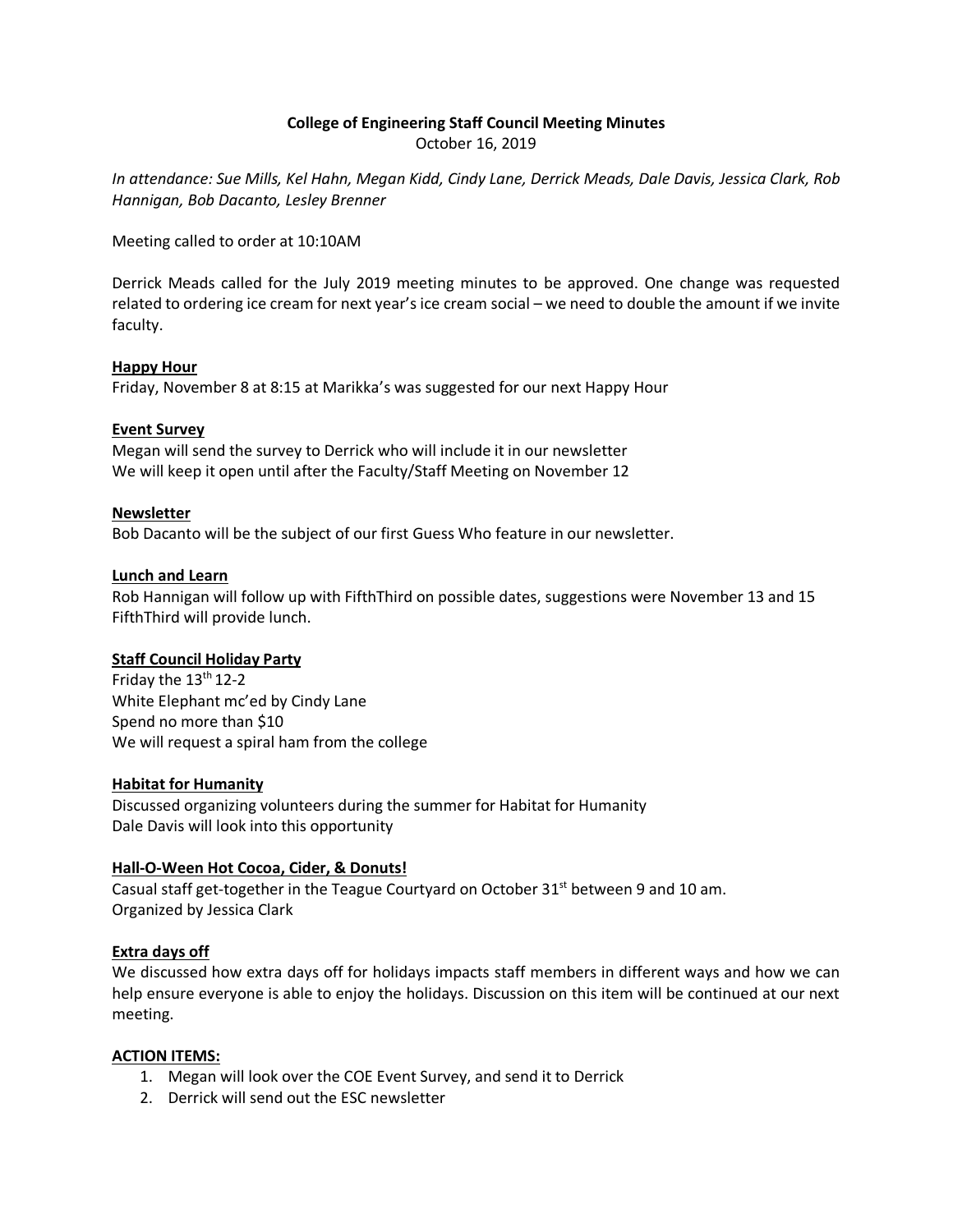# **College of Engineering Staff Council Meeting Minutes** October 16, 2019

*In attendance: Sue Mills, Kel Hahn, Megan Kidd, Cindy Lane, Derrick Meads, Dale Davis, Jessica Clark, Rob Hannigan, Bob Dacanto, Lesley Brenner*

Meeting called to order at 10:10AM

Derrick Meads called for the July 2019 meeting minutes to be approved. One change was requested related to ordering ice cream for next year's ice cream social – we need to double the amount if we invite faculty.

## **Happy Hour**

Friday, November 8 at 8:15 at Marikka's was suggested for our next Happy Hour

## **Event Survey**

Megan will send the survey to Derrick who will include it in our newsletter We will keep it open until after the Faculty/Staff Meeting on November 12

## **Newsletter**

Bob Dacanto will be the subject of our first Guess Who feature in our newsletter.

## **Lunch and Learn**

Rob Hannigan will follow up with FifthThird on possible dates, suggestions were November 13 and 15 FifthThird will provide lunch.

# **Staff Council Holiday Party**

Friday the 13<sup>th</sup> 12-2 White Elephant mc'ed by Cindy Lane Spend no more than \$10 We will request a spiral ham from the college

## **Habitat for Humanity**

Discussed organizing volunteers during the summer for Habitat for Humanity Dale Davis will look into this opportunity

# **Hall-O-Ween Hot Cocoa, Cider, & Donuts!**

Casual staff get-together in the Teague Courtyard on October 31<sup>st</sup> between 9 and 10 am. Organized by Jessica Clark

# **Extra days off**

We discussed how extra days off for holidays impacts staff members in different ways and how we can help ensure everyone is able to enjoy the holidays. Discussion on this item will be continued at our next meeting.

#### **ACTION ITEMS:**

- 1. Megan will look over the COE Event Survey, and send it to Derrick
- 2. Derrick will send out the ESC newsletter